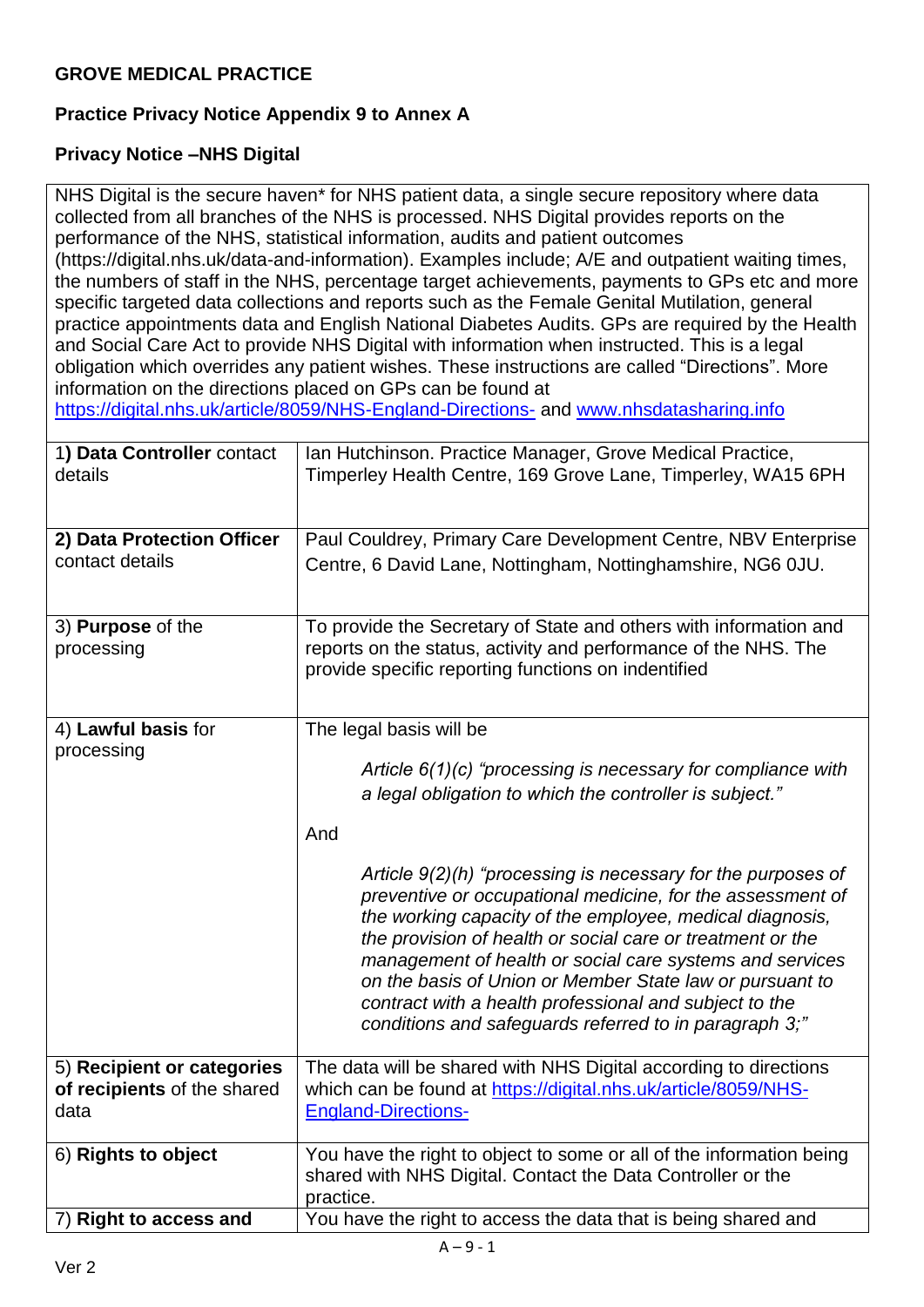## **Practice Privacy Notice Appendix 9 to Annex A**

## **Privacy Notice –NHS Digital**

NHS Digital is the secure haven\* for NHS patient data, a single secure repository where data collected from all branches of the NHS is processed. NHS Digital provides reports on the performance of the NHS, statistical information, audits and patient outcomes (https://digital.nhs.uk/data-and-information). Examples include; A/E and outpatient waiting times, the numbers of staff in the NHS, percentage target achievements, payments to GPs etc and more specific targeted data collections and reports such as the Female Genital Mutilation, general practice appointments data and English National Diabetes Audits. GPs are required by the Health and Social Care Act to provide NHS Digital with information when instructed. This is a legal obligation which overrides any patient wishes. These instructions are called "Directions". More information on the directions placed on GPs can be found at

<https://digital.nhs.uk/article/8059/NHS-England-Directions-> and [www.nhsdatasharing.info](http://www.nhsdatasharing.info/)

| 1) Data Controller contact<br>details                             | Ian Hutchinson. Practice Manager, Grove Medical Practice,<br>Timperley Health Centre, 169 Grove Lane, Timperley, WA15 6PH                                                                                                                                                                                                                                                                                                                                                                                                                                                                                                                                         |
|-------------------------------------------------------------------|-------------------------------------------------------------------------------------------------------------------------------------------------------------------------------------------------------------------------------------------------------------------------------------------------------------------------------------------------------------------------------------------------------------------------------------------------------------------------------------------------------------------------------------------------------------------------------------------------------------------------------------------------------------------|
| 2) Data Protection Officer<br>contact details                     | Paul Couldrey, Primary Care Development Centre, NBV Enterprise<br>Centre, 6 David Lane, Nottingham, Nottinghamshire, NG6 0JU.                                                                                                                                                                                                                                                                                                                                                                                                                                                                                                                                     |
| 3) Purpose of the<br>processing                                   | To provide the Secretary of State and others with information and<br>reports on the status, activity and performance of the NHS. The<br>provide specific reporting functions on indentified                                                                                                                                                                                                                                                                                                                                                                                                                                                                       |
| 4) Lawful basis for<br>processing                                 | The legal basis will be<br>Article $6(1)(c)$ "processing is necessary for compliance with<br>a legal obligation to which the controller is subject."<br>And<br>Article $9(2)(h)$ "processing is necessary for the purposes of<br>preventive or occupational medicine, for the assessment of<br>the working capacity of the employee, medical diagnosis,<br>the provision of health or social care or treatment or the<br>management of health or social care systems and services<br>on the basis of Union or Member State law or pursuant to<br>contract with a health professional and subject to the<br>conditions and safeguards referred to in paragraph 3;" |
| 5) Recipient or categories<br>of recipients of the shared<br>data | The data will be shared with NHS Digital according to directions<br>which can be found at https://digital.nhs.uk/article/8059/NHS-<br><b>England-Directions-</b>                                                                                                                                                                                                                                                                                                                                                                                                                                                                                                  |
| 6) Rights to object                                               | You have the right to object to some or all of the information being<br>shared with NHS Digital. Contact the Data Controller or the<br>practice.                                                                                                                                                                                                                                                                                                                                                                                                                                                                                                                  |
| <b>Right to access and</b>                                        | You have the right to access the data that is being shared and                                                                                                                                                                                                                                                                                                                                                                                                                                                                                                                                                                                                    |
| $A - 9 - 1$                                                       |                                                                                                                                                                                                                                                                                                                                                                                                                                                                                                                                                                                                                                                                   |